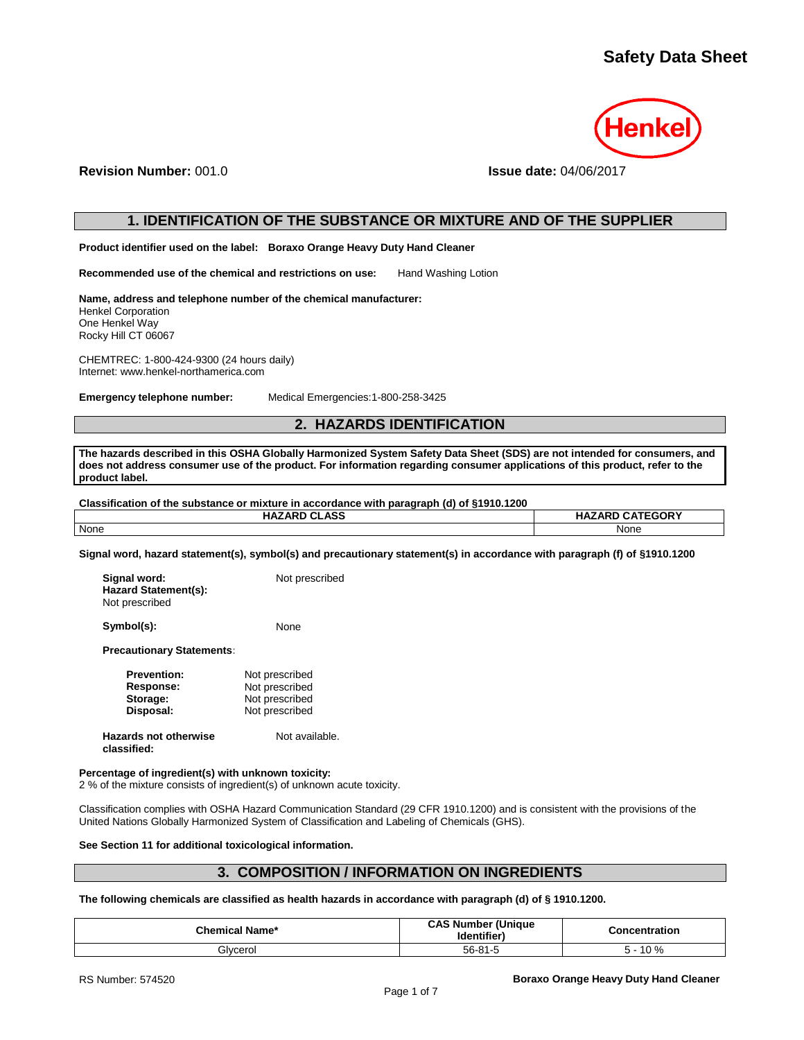

**Revision Number:** 001.0 **Issue date:** 04/06/2017

# **1. IDENTIFICATION OF THE SUBSTANCE OR MIXTURE AND OF THE SUPPLIER**

**Product identifier used on the label: Boraxo Orange Heavy Duty Hand Cleaner**

**Recommended use of the chemical and restrictions on use:** Hand Washing Lotion

**Name, address and telephone number of the chemical manufacturer:** Henkel Corporation One Henkel Way Rocky Hill CT 06067

CHEMTREC: 1-800-424-9300 (24 hours daily) Internet: www.henkel-northamerica.com

**Emergency telephone number:** Medical Emergencies:1-800-258-3425

# **2. HAZARDS IDENTIFICATION**

**The hazards described in this OSHA Globally Harmonized System Safety Data Sheet (SDS) are not intended for consumers, and does not address consumer use of the product. For information regarding consumer applications of this product, refer to the product label.**

## **Classification of the substance or mixture in accordance with paragraph (d) of §1910.1200**

| <b>HAZARD CLASS</b> | <b>HAZARD CATEGORY</b> |
|---------------------|------------------------|
| None                | None                   |

**Signal word, hazard statement(s), symbol(s) and precautionary statement(s) in accordance with paragraph (f) of §1910.1200**

| Signal word:<br>Hazard Statement(s):<br>Not prescribed | Not prescribed |
|--------------------------------------------------------|----------------|
| Symbol(s):                                             | None           |

**Precautionary Statements:**

| <b>Prevention:</b>                          | Not prescribed |
|---------------------------------------------|----------------|
| Response:                                   | Not prescribed |
| Storage:                                    | Not prescribed |
| Disposal:                                   | Not prescribed |
| <b>Hazards not otherwise</b><br>classified: | Not available. |

## **Percentage of ingredient(s) with unknown toxicity:**

2 % of the mixture consists of ingredient(s) of unknown acute toxicity.

Classification complies with OSHA Hazard Communication Standard (29 CFR 1910.1200) and is consistent with the provisions of the United Nations Globally Harmonized System of Classification and Labeling of Chemicals (GHS).

**See Section 11 for additional toxicological information.**

# **3. COMPOSITION / INFORMATION ON INGREDIENTS**

**The following chemicals are classified as health hazards in accordance with paragraph (d) of § 1910.1200.**

| <b>Chemical Name*</b> | <b>CAS Number (Unique</b><br>Identifier | Concentration |
|-----------------------|-----------------------------------------|---------------|
| Glvcerol              | 56-81-5                                 | 10 %          |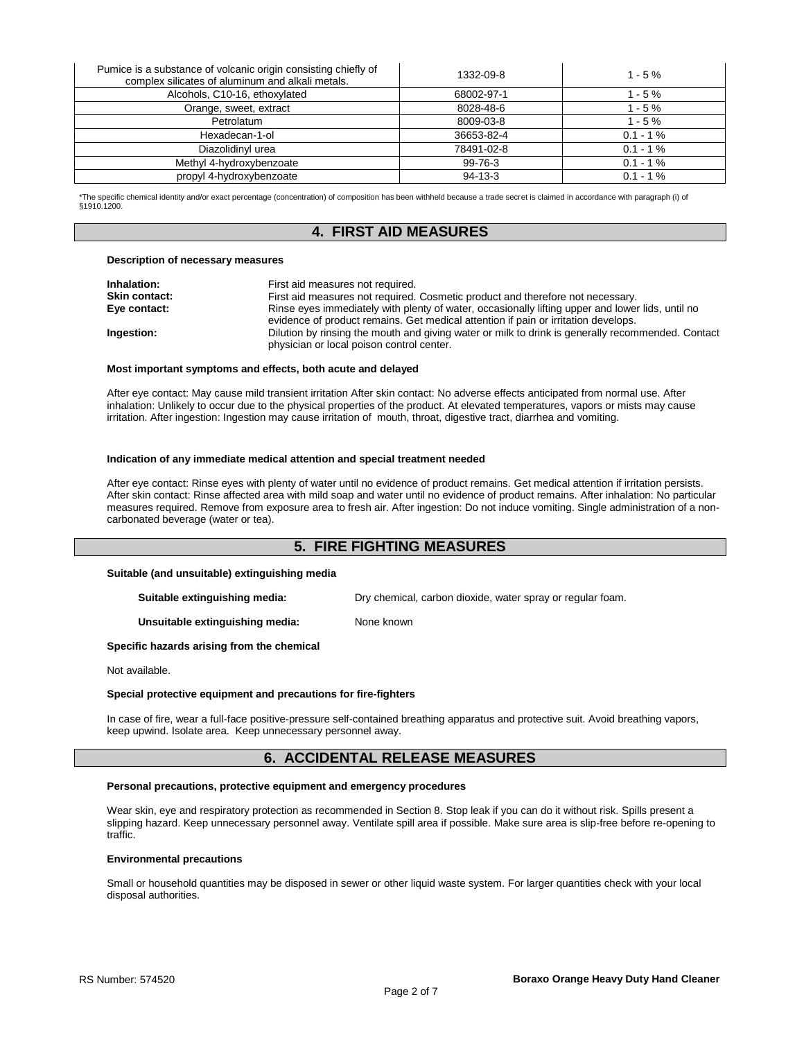| Pumice is a substance of volcanic origin consisting chiefly of<br>complex silicates of aluminum and alkali metals. | 1332-09-8  | $1 - 5 \%$  |
|--------------------------------------------------------------------------------------------------------------------|------------|-------------|
| Alcohols, C10-16, ethoxylated                                                                                      | 68002-97-1 | $1 - 5%$    |
| Orange, sweet, extract                                                                                             | 8028-48-6  | $1 - 5 \%$  |
| Petrolatum                                                                                                         | 8009-03-8  | $1 - 5 \%$  |
| Hexadecan-1-ol                                                                                                     | 36653-82-4 | $0.1 - 1\%$ |
| Diazolidinyl urea                                                                                                  | 78491-02-8 | $0.1 - 1\%$ |
| Methyl 4-hydroxybenzoate                                                                                           | 99-76-3    | $0.1 - 1\%$ |
| propyl 4-hydroxybenzoate                                                                                           | $94-13-3$  | $0.1 - 1\%$ |

\*The specific chemical identity and/or exact percentage (concentration) of composition has been withheld because a trade secret is claimed in accordance with paragraph (i) of §1910.1200.

## **4. FIRST AID MEASURES**

## **Description of necessary measures**

| Inhalation:          | First aid measures not required.                                                                                                                                                       |
|----------------------|----------------------------------------------------------------------------------------------------------------------------------------------------------------------------------------|
| <b>Skin contact:</b> | First aid measures not required. Cosmetic product and therefore not necessary.                                                                                                         |
| Eye contact:         | Rinse eyes immediately with plenty of water, occasionally lifting upper and lower lids, until no<br>evidence of product remains. Get medical attention if pain or irritation develops. |
| Ingestion:           | Dilution by rinsing the mouth and giving water or milk to drink is generally recommended. Contact<br>physician or local poison control center.                                         |

#### **Most important symptoms and effects, both acute and delayed**

After eye contact: May cause mild transient irritation After skin contact: No adverse effects anticipated from normal use. After inhalation: Unlikely to occur due to the physical properties of the product. At elevated temperatures, vapors or mists may cause irritation. After ingestion: Ingestion may cause irritation of mouth, throat, digestive tract, diarrhea and vomiting.

## **Indication of any immediate medical attention and special treatment needed**

After eye contact: Rinse eyes with plenty of water until no evidence of product remains. Get medical attention if irritation persists. After skin contact: Rinse affected area with mild soap and water until no evidence of product remains. After inhalation: No particular measures required. Remove from exposure area to fresh air. After ingestion: Do not induce vomiting. Single administration of a noncarbonated beverage (water or tea).

# **5. FIRE FIGHTING MEASURES**

## **Suitable (and unsuitable) extinguishing media**

**Suitable extinguishing media:** Dry chemical, carbon dioxide, water spray or regular foam.

**Unsuitable extinguishing media:** None known

## **Specific hazards arising from the chemical**

Not available.

## **Special protective equipment and precautions for fire-fighters**

In case of fire, wear a full-face positive-pressure self-contained breathing apparatus and protective suit. Avoid breathing vapors, keep upwind. Isolate area. Keep unnecessary personnel away.

## **6. ACCIDENTAL RELEASE MEASURES**

## **Personal precautions, protective equipment and emergency procedures**

Wear skin, eye and respiratory protection as recommended in Section 8. Stop leak if you can do it without risk. Spills present a slipping hazard. Keep unnecessary personnel away. Ventilate spill area if possible. Make sure area is slip-free before re-opening to traffic.

## **Environmental precautions**

Small or household quantities may be disposed in sewer or other liquid waste system. For larger quantities check with your local disposal authorities.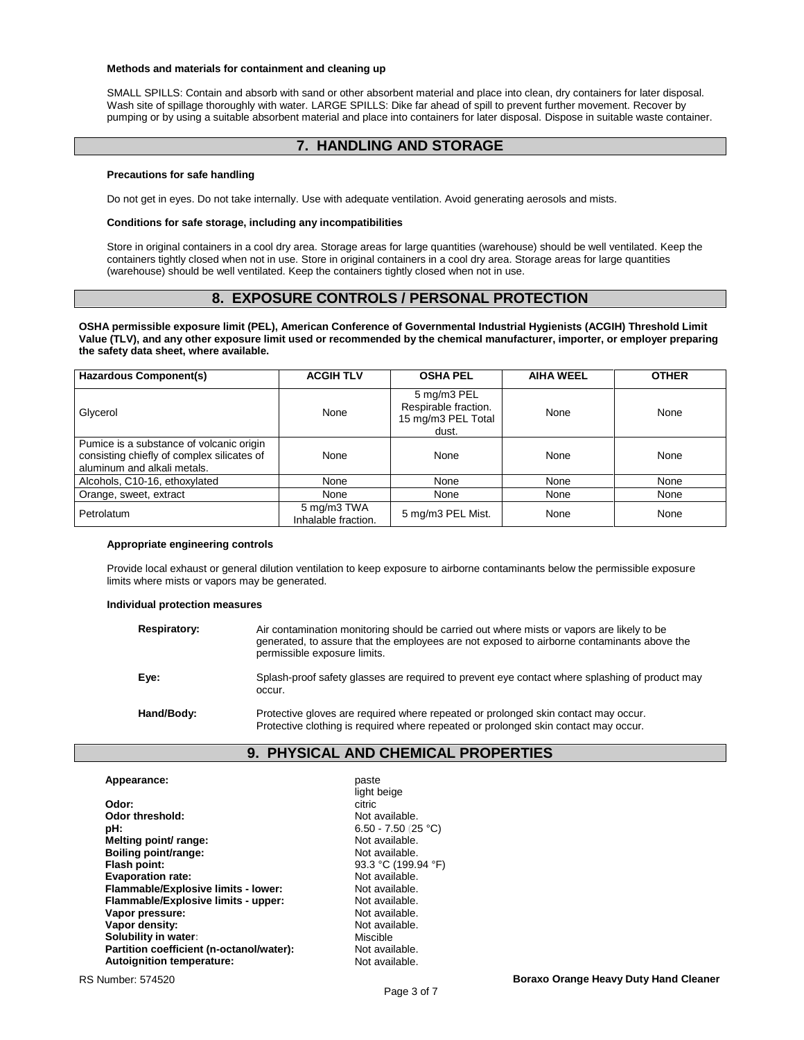### **Methods and materials for containment and cleaning up**

SMALL SPILLS: Contain and absorb with sand or other absorbent material and place into clean, dry containers for later disposal. Wash site of spillage thoroughly with water. LARGE SPILLS: Dike far ahead of spill to prevent further movement. Recover by pumping or by using a suitable absorbent material and place into containers for later disposal. Dispose in suitable waste container.

# **7. HANDLING AND STORAGE**

## **Precautions for safe handling**

Do not get in eyes. Do not take internally. Use with adequate ventilation. Avoid generating aerosols and mists.

#### **Conditions for safe storage, including any incompatibilities**

Store in original containers in a cool dry area. Storage areas for large quantities (warehouse) should be well ventilated. Keep the containers tightly closed when not in use. Store in original containers in a cool dry area. Storage areas for large quantities (warehouse) should be well ventilated. Keep the containers tightly closed when not in use.

# **8. EXPOSURE CONTROLS / PERSONAL PROTECTION**

**OSHA permissible exposure limit (PEL), American Conference of Governmental Industrial Hygienists (ACGIH) Threshold Limit Value (TLV), and any other exposure limit used or recommended by the chemical manufacturer, importer, or employer preparing the safety data sheet, where available.**

| <b>Hazardous Component(s)</b>                                                                                         | <b>ACGIH TLV</b>                   | <b>OSHA PEL</b>                                                    | <b>AIHA WEEL</b> | <b>OTHER</b> |
|-----------------------------------------------------------------------------------------------------------------------|------------------------------------|--------------------------------------------------------------------|------------------|--------------|
| Glycerol                                                                                                              | None                               | 5 mg/m3 PEL<br>Respirable fraction.<br>15 mg/m3 PEL Total<br>dust. | None             | None         |
| Pumice is a substance of volcanic origin<br>consisting chiefly of complex silicates of<br>aluminum and alkali metals. | None                               | None                                                               | None             | None         |
| Alcohols, C10-16, ethoxylated                                                                                         | None                               | None                                                               | None             | None         |
| Orange, sweet, extract                                                                                                | None                               | None                                                               | None             | None         |
| Petrolatum                                                                                                            | 5 mg/m3 TWA<br>Inhalable fraction. | 5 mg/m3 PEL Mist.                                                  | None             | None         |

## **Appropriate engineering controls**

Provide local exhaust or general dilution ventilation to keep exposure to airborne contaminants below the permissible exposure limits where mists or vapors may be generated.

## **Individual protection measures**

| Respiratory: | Air contamination monitoring should be carried out where mists or vapors are likely to be<br>generated, to assure that the employees are not exposed to airborne contaminants above the<br>permissible exposure limits. |
|--------------|-------------------------------------------------------------------------------------------------------------------------------------------------------------------------------------------------------------------------|
| Eve:         | Splash-proof safety glasses are required to prevent eye contact where splashing of product may<br>occur.                                                                                                                |
| Hand/Body:   | Protective gloves are required where repeated or prolonged skin contact may occur.<br>Protective clothing is required where repeated or prolonged skin contact may occur.                                               |

## **9. PHYSICAL AND CHEMICAL PROPERTIES**

| Appearance:                              | paste        |
|------------------------------------------|--------------|
|                                          | light ł      |
| Odor:                                    | citric       |
| Odor threshold:                          | Not a        |
| pH:                                      | $6.50 \cdot$ |
| Melting point/ range:                    | Not a        |
| Boiling point/range:                     | Not a        |
| Flash point:                             | 93.3'        |
| <b>Evaporation rate:</b>                 | Not a        |
| Flammable/Explosive limits - lower:      | Not a        |
| Flammable/Explosive limits - upper:      | Not a        |
| Vapor pressure:                          | Not a        |
| Vapor density:                           | Not a        |
| Solubility in water:                     | Misci        |
| Partition coefficient (n-octanol/water): | Not a        |
| Autoignition temperature:                | Not a        |

light beige<br>citric Not available. **pH:** 6.50 - 7.50 (25 °C) **Not available. Not available. Flash point:** 93.3 °C (199.94 °F) Not available. **Not available. Not available. Not available. Not available. Miscible Not available. Not available.**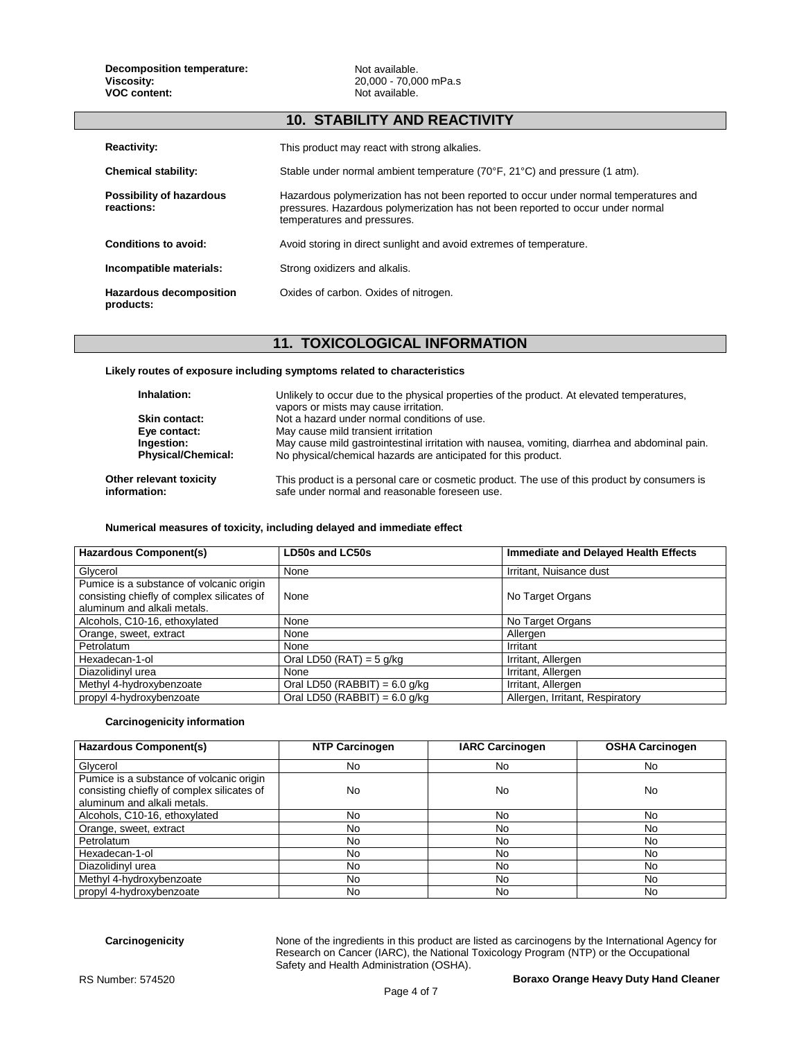## **10. STABILITY AND REACTIVITY**

| <b>Reactivity:</b>                     | This product may react with strong alkalies.                                                                                                                                                            |
|----------------------------------------|---------------------------------------------------------------------------------------------------------------------------------------------------------------------------------------------------------|
| <b>Chemical stability:</b>             | Stable under normal ambient temperature $(70^{\circ}F, 21^{\circ}C)$ and pressure (1 atm).                                                                                                              |
| Possibility of hazardous<br>reactions: | Hazardous polymerization has not been reported to occur under normal temperatures and<br>pressures. Hazardous polymerization has not been reported to occur under normal<br>temperatures and pressures. |
| Conditions to avoid:                   | Avoid storing in direct sunlight and avoid extremes of temperature.                                                                                                                                     |
| Incompatible materials:                | Strong oxidizers and alkalis.                                                                                                                                                                           |
| Hazardous decomposition<br>products:   | Oxides of carbon. Oxides of nitrogen.                                                                                                                                                                   |

# **11. TOXICOLOGICAL INFORMATION**

## **Likely routes of exposure including symptoms related to characteristics**

| Inhalation:                             | Unlikely to occur due to the physical properties of the product. At elevated temperatures,<br>vapors or mists may cause irritation.            |
|-----------------------------------------|------------------------------------------------------------------------------------------------------------------------------------------------|
| Skin contact:                           | Not a hazard under normal conditions of use.                                                                                                   |
| Eye contact:                            | May cause mild transient irritation                                                                                                            |
| Ingestion:                              | May cause mild gastrointestinal irritation with nausea, vomiting, diarrhea and abdominal pain.                                                 |
| <b>Physical/Chemical:</b>               | No physical/chemical hazards are anticipated for this product.                                                                                 |
| Other relevant toxicity<br>information: | This product is a personal care or cosmetic product. The use of this product by consumers is<br>safe under normal and reasonable foreseen use. |

## **Numerical measures of toxicity, including delayed and immediate effect**

| <b>Hazardous Component(s)</b>              | LD50s and LC50s                 | <b>Immediate and Delayed Health Effects</b> |
|--------------------------------------------|---------------------------------|---------------------------------------------|
| Glycerol                                   | None                            | Irritant, Nuisance dust                     |
| Pumice is a substance of volcanic origin   |                                 |                                             |
| consisting chiefly of complex silicates of | None                            | No Target Organs                            |
| aluminum and alkali metals.                |                                 |                                             |
| Alcohols, C10-16, ethoxylated              | None                            | No Target Organs                            |
| Orange, sweet, extract                     | None                            | Allergen                                    |
| Petrolatum                                 | None                            | Irritant                                    |
| Hexadecan-1-ol                             | Oral LD50 (RAT) = $5$ g/kg      | Irritant, Allergen                          |
| Diazolidinyl urea                          | None                            | Irritant, Allergen                          |
| Methyl 4-hydroxybenzoate                   | Oral LD50 (RABBIT) = $6.0$ g/kg | Irritant, Allergen                          |
| propyl 4-hydroxybenzoate                   | Oral LD50 (RABBIT) = $6.0$ g/kg | Allergen, Irritant, Respiratory             |

## **Carcinogenicity information**

| <b>Hazardous Component(s)</b>                                                                                         | <b>NTP Carcinogen</b> | <b>IARC Carcinogen</b> | <b>OSHA Carcinogen</b> |
|-----------------------------------------------------------------------------------------------------------------------|-----------------------|------------------------|------------------------|
| Glycerol                                                                                                              | No                    | No                     | No                     |
| Pumice is a substance of volcanic origin<br>consisting chiefly of complex silicates of<br>aluminum and alkali metals. | No                    | No                     | No                     |
| Alcohols, C10-16, ethoxylated                                                                                         | No                    | No                     | No                     |
| Orange, sweet, extract                                                                                                | No                    | No                     | No                     |
| Petrolatum                                                                                                            | No                    | No                     | No                     |
| Hexadecan-1-ol                                                                                                        | No                    | No                     | No                     |
| Diazolidinyl urea                                                                                                     | No                    | No                     | No                     |
| Methyl 4-hydroxybenzoate                                                                                              | No                    | No                     | No                     |
| propyl 4-hydroxybenzoate                                                                                              | No                    | No                     | No                     |

**Carcinogenicity** None of the ingredients in this product are listed as carcinogens by the International Agency for Research on Cancer (IARC), the National Toxicology Program (NTP) or the Occupational Safety and Health Administration (OSHA).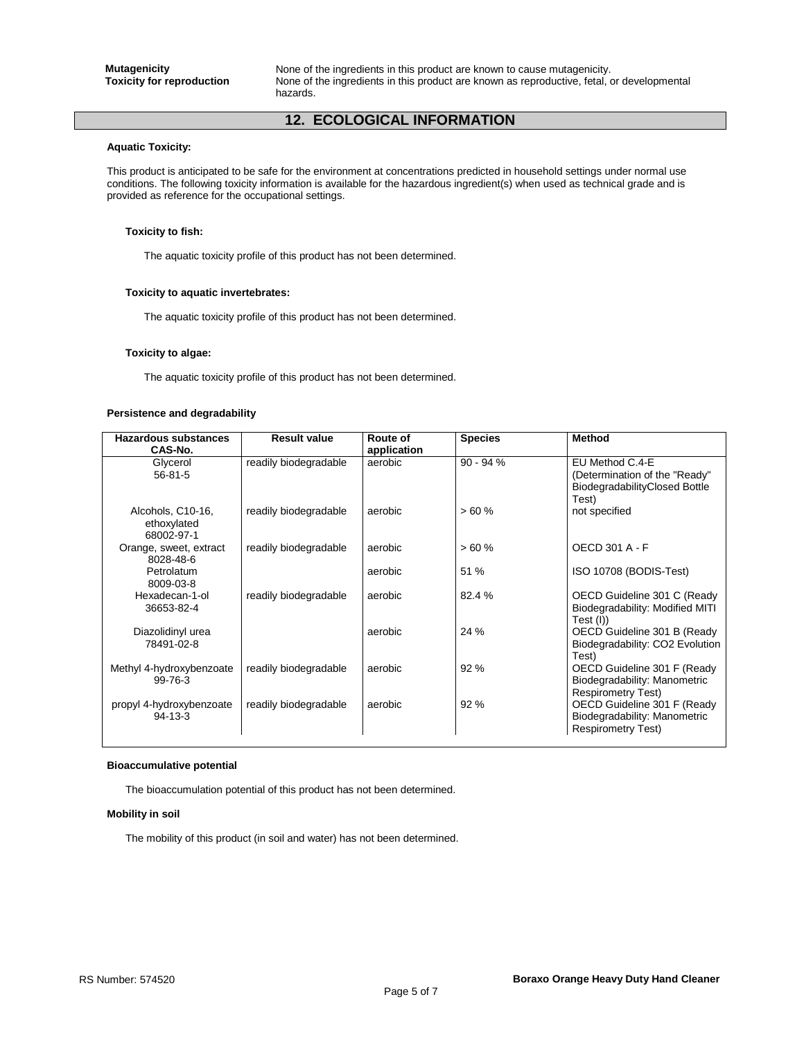**Mutagenicity**<br>**Toxicity for reproduction** Mone of the ingredients in this product are known as reproductive, fetal,  $\overline{a}$ None of the ingredients in this product are known as reproductive, fetal, or developmental hazards.

# **12. ECOLOGICAL INFORMATION**

#### **Aquatic Toxicity:**

This product is anticipated to be safe for the environment at concentrations predicted in household settings under normal use conditions. The following toxicity information is available for the hazardous ingredient(s) when used as technical grade and is provided as reference for the occupational settings.

## **Toxicity to fish:**

The aquatic toxicity profile of this product has not been determined.

## **Toxicity to aquatic invertebrates:**

The aquatic toxicity profile of this product has not been determined.

#### **Toxicity to algae:**

The aquatic toxicity profile of this product has not been determined.

## **Persistence and degradability**

| <b>Hazardous substances</b>                    | <b>Result value</b>   | Route of    | <b>Species</b> | <b>Method</b>                                                                            |
|------------------------------------------------|-----------------------|-------------|----------------|------------------------------------------------------------------------------------------|
| CAS-No.                                        |                       | application |                |                                                                                          |
| Glycerol<br>$56 - 81 - 5$                      | readily biodegradable | aerobic     | $90 - 94%$     | EU Method C.4-E<br>(Determination of the "Ready"                                         |
|                                                |                       |             |                | BiodegradabilityClosed Bottle<br>Test)                                                   |
| Alcohols, C10-16,<br>ethoxylated<br>68002-97-1 | readily biodegradable | aerobic     | >60%           | not specified                                                                            |
| Orange, sweet, extract<br>8028-48-6            | readily biodegradable | aerobic     | >60%           | OECD 301 A - F                                                                           |
| Petrolatum<br>8009-03-8                        |                       | aerobic     | 51 %           | ISO 10708 (BODIS-Test)                                                                   |
| Hexadecan-1-ol<br>36653-82-4                   | readily biodegradable | aerobic     | 82.4 %         | OECD Guideline 301 C (Ready<br>Biodegradability: Modified MITI<br>Test (I))              |
| Diazolidinyl urea<br>78491-02-8                |                       | aerobic     | 24 %           | OECD Guideline 301 B (Ready<br>Biodegradability: CO2 Evolution<br>Test)                  |
| Methyl 4-hydroxybenzoate<br>99-76-3            | readily biodegradable | aerobic     | 92 %           | OECD Guideline 301 F (Ready<br>Biodegradability: Manometric<br><b>Respirometry Test)</b> |
| propyl 4-hydroxybenzoate<br>$94 - 13 - 3$      | readily biodegradable | aerobic     | 92 %           | OECD Guideline 301 F (Ready<br>Biodegradability: Manometric<br><b>Respirometry Test)</b> |

#### **Bioaccumulative potential**

The bioaccumulation potential of this product has not been determined.

## **Mobility in soil**

The mobility of this product (in soil and water) has not been determined.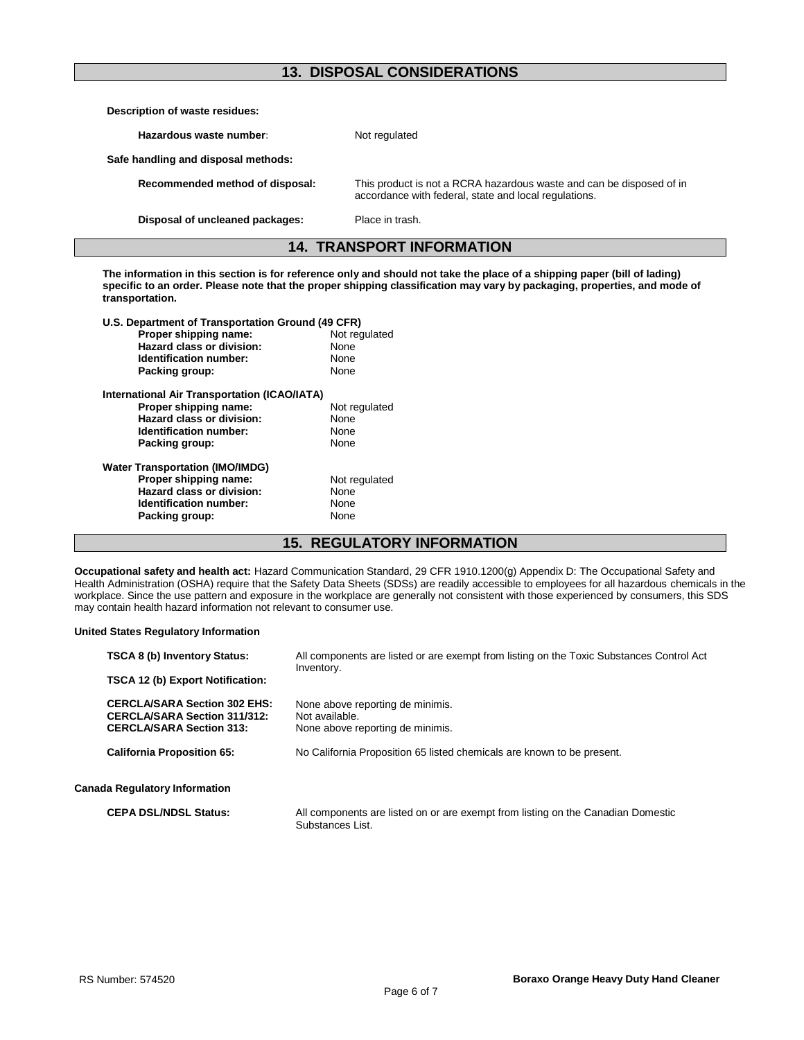# **13. DISPOSAL CONSIDERATIONS**

| Description of waste residues:      |                                                                                                                               |  |
|-------------------------------------|-------------------------------------------------------------------------------------------------------------------------------|--|
| Hazardous waste number:             | Not regulated                                                                                                                 |  |
| Safe handling and disposal methods: |                                                                                                                               |  |
| Recommended method of disposal:     | This product is not a RCRA hazardous waste and can be disposed of in<br>accordance with federal, state and local regulations. |  |
| Disposal of uncleaned packages:     | Place in trash.                                                                                                               |  |
| <b>14. TRANSPORT INFORMATION</b>    |                                                                                                                               |  |

**The information in this section is for reference only and should not take the place of a shipping paper (bill of lading) specific to an order. Please note that the proper shipping classification may vary by packaging, properties, and mode of transportation.**

| U.S. Department of Transportation Ground (49 CFR) |               |  |
|---------------------------------------------------|---------------|--|
| Proper shipping name:                             | Not regulated |  |
| Hazard class or division:                         | None          |  |
| Identification number:                            | None          |  |
| Packing group:                                    | None          |  |
| International Air Transportation (ICAO/IATA)      |               |  |
| Proper shipping name:                             | Not regulated |  |
| Hazard class or division:                         | None          |  |
| Identification number:                            | None          |  |
| Packing group:                                    | None          |  |
| <b>Water Transportation (IMO/IMDG)</b>            |               |  |
| Proper shipping name:                             | Not regulated |  |
| Hazard class or division:                         | None          |  |
| Identification number:                            | None          |  |
| Packing group:                                    | None          |  |

# **15. REGULATORY INFORMATION**

**Occupational safety and health act:** Hazard Communication Standard, 29 CFR 1910.1200(g) Appendix D: The Occupational Safety and Health Administration (OSHA) require that the Safety Data Sheets (SDSs) are readily accessible to employees for all hazardous chemicals in the workplace. Since the use pattern and exposure in the workplace are generally not consistent with those experienced by consumers, this SDS may contain health hazard information not relevant to consumer use.

## **United States Regulatory Information**

| <b>TSCA 8 (b) Inventory Status:</b>                                                                           | All components are listed or are exempt from listing on the Toxic Substances Control Act<br>Inventory. |  |
|---------------------------------------------------------------------------------------------------------------|--------------------------------------------------------------------------------------------------------|--|
| <b>TSCA 12 (b) Export Notification:</b>                                                                       |                                                                                                        |  |
| <b>CERCLA/SARA Section 302 EHS:</b><br><b>CERCLA/SARA Section 311/312:</b><br><b>CERCLA/SARA Section 313:</b> | None above reporting de minimis.<br>Not available.<br>None above reporting de minimis.                 |  |
| <b>California Proposition 65:</b>                                                                             | No California Proposition 65 listed chemicals are known to be present.                                 |  |
| <b>Canada Regulatory Information</b>                                                                          |                                                                                                        |  |
| <b>CEPA DSL/NDSL Status:</b>                                                                                  | All components are listed on or are exempt from listing on the Canadian Domestic<br>Substances List.   |  |